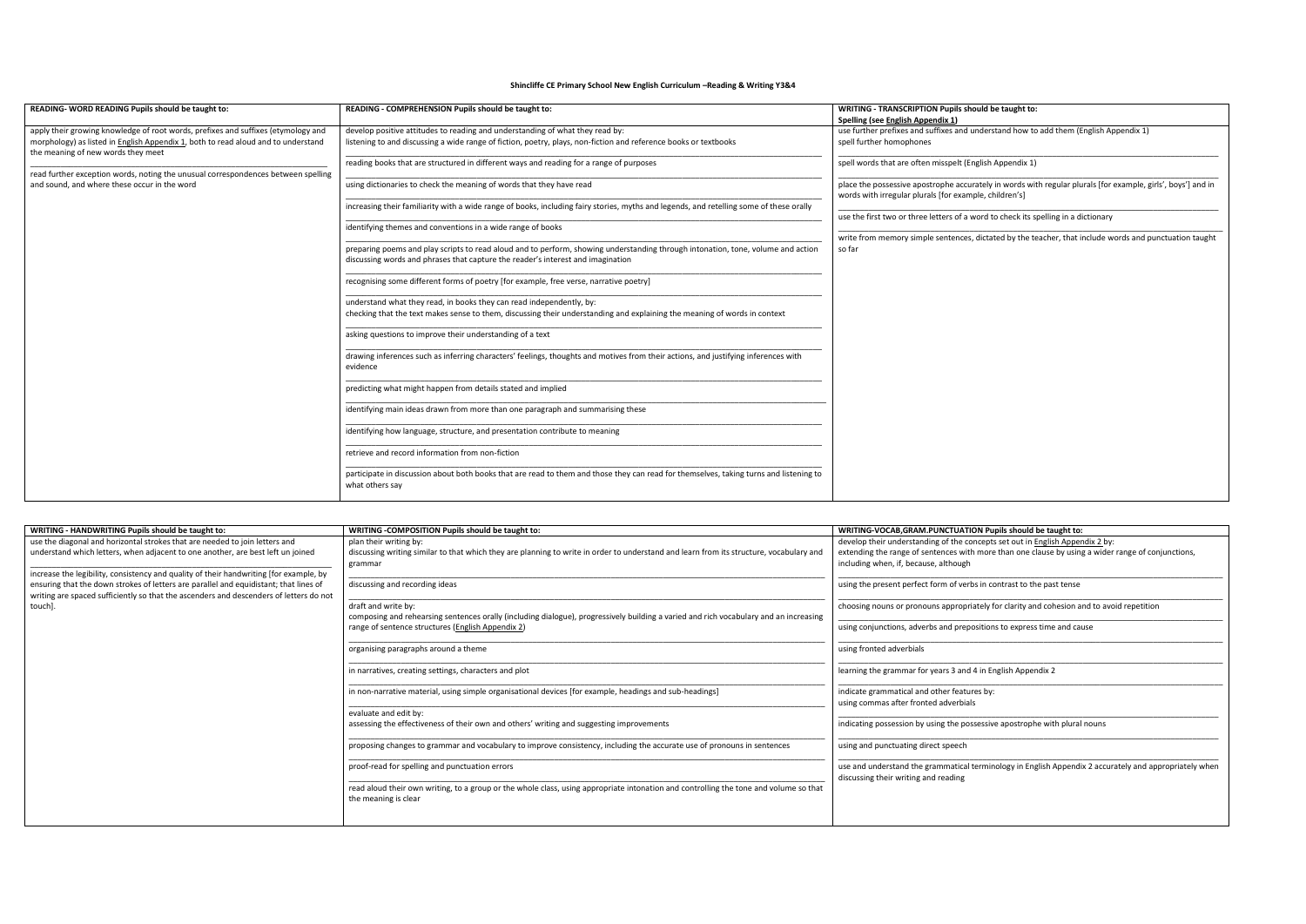## **Shincliffe CE Primary School New English Curriculum –Reading & Writing Y3&4**

| READING-WORD READING Pupils should be taught to:                                                                                | READING - COMPREHENSION Pupils should be taught to:                                                                                                       | WRITING - TRANSCRIPTION Pupils should be taught to:                                                                                                                    |  |
|---------------------------------------------------------------------------------------------------------------------------------|-----------------------------------------------------------------------------------------------------------------------------------------------------------|------------------------------------------------------------------------------------------------------------------------------------------------------------------------|--|
|                                                                                                                                 |                                                                                                                                                           | Spelling (see English Appendix 1)                                                                                                                                      |  |
| apply their growing knowledge of root words, prefixes and suffixes (etymology and                                               | develop positive attitudes to reading and understanding of what they read by:                                                                             | use further prefixes and suffixes and understand how to add them (English Appendix 1)                                                                                  |  |
| morphology) as listed in <b>English Appendix 1</b> , both to read aloud and to understand<br>the meaning of new words they meet | listening to and discussing a wide range of fiction, poetry, plays, non-fiction and reference books or textbooks                                          | spell further homophones                                                                                                                                               |  |
| read further exception words, noting the unusual correspondences between spelling                                               | reading books that are structured in different ways and reading for a range of purposes                                                                   | spell words that are often misspelt (English Appendix 1)                                                                                                               |  |
| and sound, and where these occur in the word                                                                                    | using dictionaries to check the meaning of words that they have read                                                                                      | place the possessive apostrophe accurately in words with regular plurals [for example, girls', boys'] and in<br>words with irregular plurals [for example, children's] |  |
|                                                                                                                                 | increasing their familiarity with a wide range of books, including fairy stories, myths and legends, and retelling some of these orally                   | use the first two or three letters of a word to check its spelling in a dictionary                                                                                     |  |
|                                                                                                                                 | identifying themes and conventions in a wide range of books                                                                                               |                                                                                                                                                                        |  |
|                                                                                                                                 |                                                                                                                                                           | write from memory simple sentences, dictated by the teacher, that include words and punctuation taught                                                                 |  |
|                                                                                                                                 | preparing poems and play scripts to read aloud and to perform, showing understanding through intonation, tone, volume and action                          | so far                                                                                                                                                                 |  |
|                                                                                                                                 | discussing words and phrases that capture the reader's interest and imagination                                                                           |                                                                                                                                                                        |  |
|                                                                                                                                 | recognising some different forms of poetry [for example, free verse, narrative poetry]                                                                    |                                                                                                                                                                        |  |
|                                                                                                                                 | understand what they read, in books they can read independently, by:                                                                                      |                                                                                                                                                                        |  |
|                                                                                                                                 | checking that the text makes sense to them, discussing their understanding and explaining the meaning of words in context                                 |                                                                                                                                                                        |  |
|                                                                                                                                 | asking questions to improve their understanding of a text                                                                                                 |                                                                                                                                                                        |  |
|                                                                                                                                 | drawing inferences such as inferring characters' feelings, thoughts and motives from their actions, and justifying inferences with<br>evidence            |                                                                                                                                                                        |  |
|                                                                                                                                 | predicting what might happen from details stated and implied                                                                                              |                                                                                                                                                                        |  |
|                                                                                                                                 | identifying main ideas drawn from more than one paragraph and summarising these                                                                           |                                                                                                                                                                        |  |
|                                                                                                                                 | identifying how language, structure, and presentation contribute to meaning                                                                               |                                                                                                                                                                        |  |
|                                                                                                                                 | retrieve and record information from non-fiction                                                                                                          |                                                                                                                                                                        |  |
|                                                                                                                                 | participate in discussion about both books that are read to them and those they can read for themselves, taking turns and listening to<br>what others say |                                                                                                                                                                        |  |

| WRITING - HANDWRITING Pupils should be taught to:                                      | WRITING -COMPOSITION Pupils should be taught to:                                                                                                              | WRITING-VOCAB, GRAM. PUNCTUATION Pupils should be taught to:                                                                                   |
|----------------------------------------------------------------------------------------|---------------------------------------------------------------------------------------------------------------------------------------------------------------|------------------------------------------------------------------------------------------------------------------------------------------------|
| use the diagonal and horizontal strokes that are needed to join letters and            | plan their writing by:                                                                                                                                        | develop their understanding of the concepts set out in English Appendix 2 by:                                                                  |
| understand which letters, when adjacent to one another, are best left un joined        | discussing writing similar to that which they are planning to write in order to understand and learn from its structure, vocabulary and                       | extending the range of sentences with more than one clause by using a wider range of conjunctions,                                             |
|                                                                                        | grammar                                                                                                                                                       | including when, if, because, although                                                                                                          |
| increase the legibility, consistency and quality of their handwriting [for example, by |                                                                                                                                                               |                                                                                                                                                |
| ensuring that the down strokes of letters are parallel and equidistant; that lines of  | discussing and recording ideas                                                                                                                                | using the present perfect form of verbs in contrast to the past tense                                                                          |
| writing are spaced sufficiently so that the ascenders and descenders of letters do not |                                                                                                                                                               |                                                                                                                                                |
| touch].                                                                                | draft and write by:                                                                                                                                           | choosing nouns or pronouns appropriately for clarity and cohesion and to avoid repetition                                                      |
|                                                                                        | composing and rehearsing sentences orally (including dialogue), progressively building a varied and rich vocabulary and an increasing                         |                                                                                                                                                |
|                                                                                        | range of sentence structures (English Appendix 2)                                                                                                             | using conjunctions, adverbs and prepositions to express time and cause                                                                         |
|                                                                                        | organising paragraphs around a theme                                                                                                                          | using fronted adverbials                                                                                                                       |
|                                                                                        | in narratives, creating settings, characters and plot                                                                                                         | learning the grammar for years 3 and 4 in English Appendix 2                                                                                   |
|                                                                                        | in non-narrative material, using simple organisational devices [for example, headings and sub-headings]                                                       | indicate grammatical and other features by:<br>using commas after fronted adverbials                                                           |
|                                                                                        | evaluate and edit by:                                                                                                                                         |                                                                                                                                                |
|                                                                                        | assessing the effectiveness of their own and others' writing and suggesting improvements                                                                      | indicating possession by using the possessive apostrophe with plural nouns                                                                     |
|                                                                                        |                                                                                                                                                               |                                                                                                                                                |
|                                                                                        | proposing changes to grammar and vocabulary to improve consistency, including the accurate use of pronouns in sentences                                       | using and punctuating direct speech                                                                                                            |
|                                                                                        | proof-read for spelling and punctuation errors                                                                                                                | use and understand the grammatical terminology in English Appendix 2 accurately and appropriately when<br>discussing their writing and reading |
|                                                                                        | read aloud their own writing, to a group or the whole class, using appropriate intonation and controlling the tone and volume so that<br>the meaning is clear |                                                                                                                                                |
|                                                                                        |                                                                                                                                                               |                                                                                                                                                |

## ish Appendix 1)